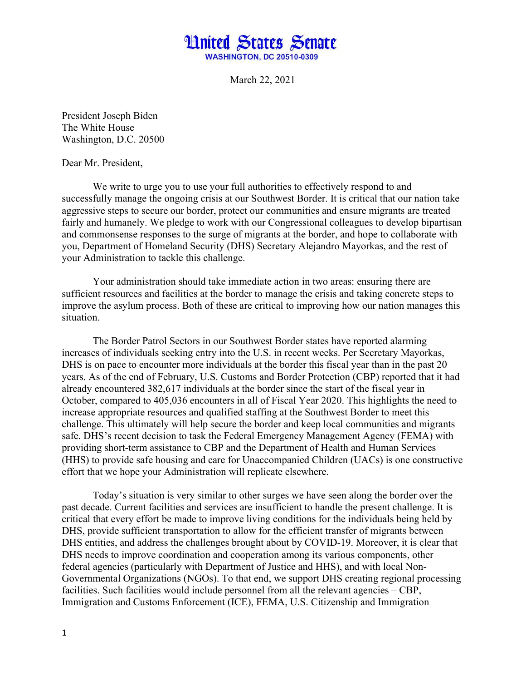

March 22, 2021

President Joseph Biden The White House Washington, D.C. 20500

Dear Mr. President,

We write to urge you to use your full authorities to effectively respond to and successfully manage the ongoing crisis at our Southwest Border. It is critical that our nation take aggressive steps to secure our border, protect our communities and ensure migrants are treated fairly and humanely. We pledge to work with our Congressional colleagues to develop bipartisan and commonsense responses to the surge of migrants at the border, and hope to collaborate with you, Department of Homeland Security (DHS) Secretary Alejandro Mayorkas, and the rest of your Administration to tackle this challenge.

Your administration should take immediate action in two areas: ensuring there are sufficient resources and facilities at the border to manage the crisis and taking concrete steps to improve the asylum process. Both of these are critical to improving how our nation manages this situation.

The Border Patrol Sectors in our Southwest Border states have reported alarming increases of individuals seeking entry into the U.S. in recent weeks. Per Secretary Mayorkas, DHS is on pace to encounter more individuals at the border this fiscal year than in the past 20 years. As of the end of February, U.S. Customs and Border Protection (CBP) reported that it had already encountered 382,617 individuals at the border since the start of the fiscal year in October, compared to 405,036 encounters in all of Fiscal Year 2020. This highlights the need to increase appropriate resources and qualified staffing at the Southwest Border to meet this challenge. This ultimately will help secure the border and keep local communities and migrants safe. DHS's recent decision to task the Federal Emergency Management Agency (FEMA) with providing short-term assistance to CBP and the Department of Health and Human Services (HHS) to provide safe housing and care for Unaccompanied Children (UACs) is one constructive effort that we hope your Administration will replicate elsewhere.

Today's situation is very similar to other surges we have seen along the border over the past decade. Current facilities and services are insufficient to handle the present challenge. It is critical that every effort be made to improve living conditions for the individuals being held by DHS, provide sufficient transportation to allow for the efficient transfer of migrants between DHS entities, and address the challenges brought about by COVID-19. Moreover, it is clear that DHS needs to improve coordination and cooperation among its various components, other federal agencies (particularly with Department of Justice and HHS), and with local Non-Governmental Organizations (NGOs). To that end, we support DHS creating regional processing facilities. Such facilities would include personnel from all the relevant agencies – CBP, Immigration and Customs Enforcement (ICE), FEMA, U.S. Citizenship and Immigration